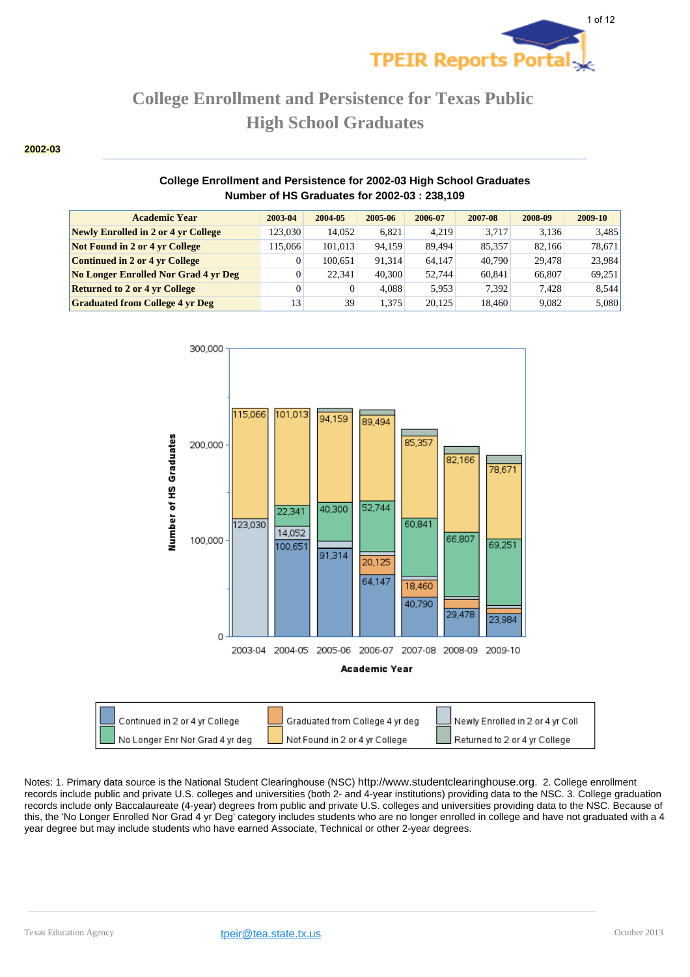

#### **2002-03**

#### **College Enrollment and Persistence for 2002-03 High School Graduates Number of HS Graduates for 2002-03 : 238,109**

| <b>Academic Year</b>                   | 2003-04 | 2004-05 | 2005-06 | 2006-07 | 2007-08 | 2008-09 | 2009-10 |
|----------------------------------------|---------|---------|---------|---------|---------|---------|---------|
| Newly Enrolled in 2 or 4 yr College    | 123,030 | 14.052  | 6.821   | 4.219   | 3.717   | 3.136   | 3,485   |
| <b>Not Found in 2 or 4 yr College</b>  | 115,066 | 101.013 | 94.159  | 89.494  | 85.357  | 82.166  | 78,671  |
| <b>Continued in 2 or 4 yr College</b>  |         | 100.651 | 91.314  | 64.147  | 40,790  | 29.478  | 23,984  |
| No Longer Enrolled Nor Grad 4 yr Deg   |         | 22.341  | 40,300  | 52.744  | 60.841  | 66,807  | 69,251  |
| <b>Returned to 2 or 4 yr College</b>   |         | 0       | 4.088   | 5.953   | 7.392   | 7.428   | 8,544   |
| <b>Graduated from College 4 yr Deg</b> | 13      | 39      | 1.375   | 20.125  | 18.460  | 9.082   | 5,080   |

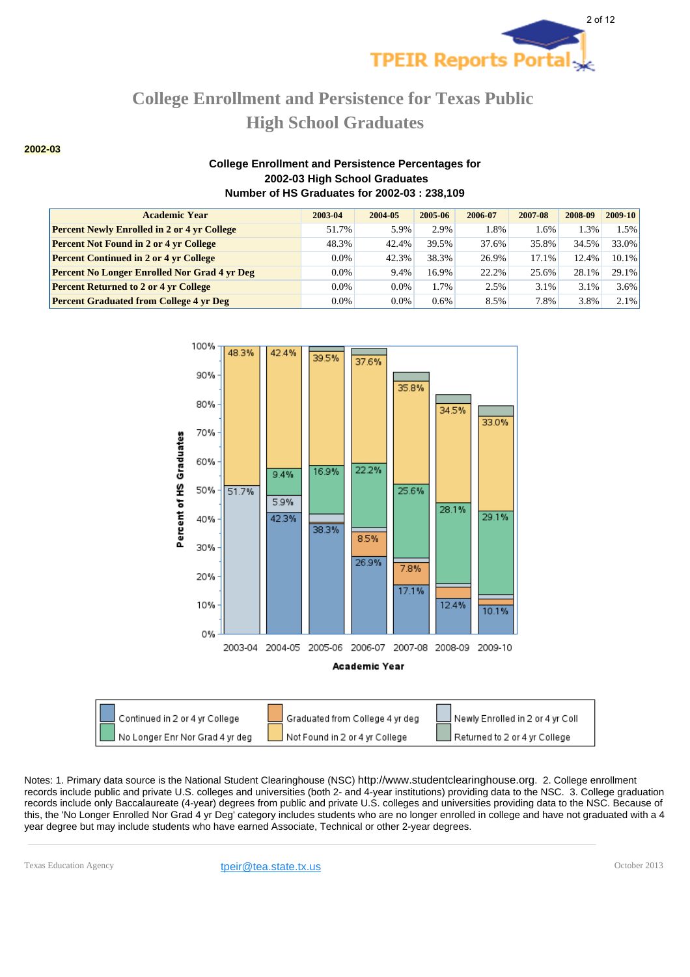

**2002-03**

### **College Enrollment and Persistence Percentages for 2002-03 High School Graduates Number of HS Graduates for 2002-03 : 238,109**

| <b>Academic Year</b>                                | 2003-04 | 2004-05 | 2005-06 | 2006-07 | 2007-08 | 2008-09 | 2009-10 |
|-----------------------------------------------------|---------|---------|---------|---------|---------|---------|---------|
| <b>Percent Newly Enrolled in 2 or 4 yr College</b>  | 51.7%   | 5.9%    | 2.9%    | 1.8%    | 1.6%    | $1.3\%$ | 1.5%    |
| <b>Percent Not Found in 2 or 4 yr College</b>       | 48.3%   | 42.4%   | 39.5%   | 37.6%   | 35.8%   | 34.5%   | 33.0%   |
| <b>Percent Continued in 2 or 4 yr College</b>       | $0.0\%$ | 42.3%   | 38.3%   | 26.9%   | 17.1%   | 12.4%   | 10.1%   |
| <b>Percent No Longer Enrolled Nor Grad 4 yr Deg</b> | $0.0\%$ | 9.4%    | 16.9%   | 22.2%   | 25.6%   | 28.1%   | 29.1%   |
| <b>Percent Returned to 2 or 4 yr College</b>        | $0.0\%$ | $0.0\%$ | 1.7%    | 2.5%    | 3.1%    | 3.1%    | 3.6%    |
| <b>Percent Graduated from College 4 yr Deg</b>      | $0.0\%$ | 0.0%    | $0.6\%$ | 8.5%    | 7.8%    | 3.8%    | 2.1%    |





Notes: 1. Primary data source is the National Student Clearinghouse (NSC) http://www.studentclearinghouse.org. 2. College enrollment records include public and private U.S. colleges and universities (both 2- and 4-year institutions) providing data to the NSC. 3. College graduation records include only Baccalaureate (4-year) degrees from public and private U.S. colleges and universities providing data to the NSC. Because of this, the 'No Longer Enrolled Nor Grad 4 yr Deg' category includes students who are no longer enrolled in college and have not graduated with a 4 year degree but may include students who have earned Associate, Technical or other 2-year degrees.

Texas Education Agency **their@tea.state.tx.us their@tea.state.tx.us** October 2013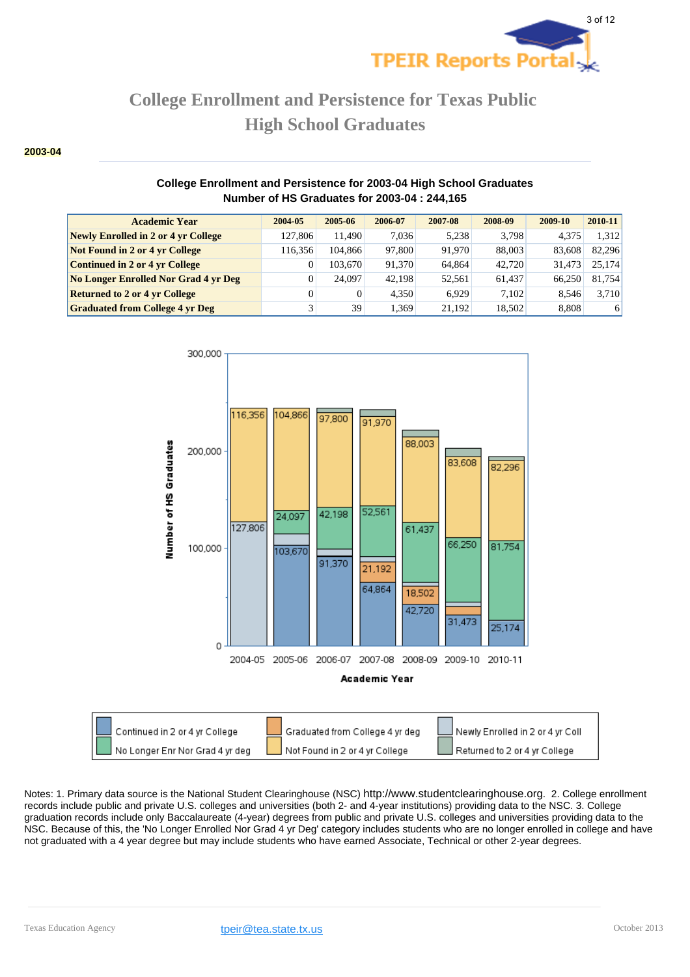

#### **2003-04**

### **College Enrollment and Persistence for 2003-04 High School Graduates Number of HS Graduates for 2003-04 : 244,165**

| <b>Academic Year</b>                   | 2004-05 | 2005-06  | 2006-07 | 2007-08 | 2008-09 | 2009-10 | $2010 - 11$ |
|----------------------------------------|---------|----------|---------|---------|---------|---------|-------------|
| Newly Enrolled in 2 or 4 yr College    | 127,806 | 11.490   | 7.036   | 5.238   | 3.798   | 4.375   | 1.312       |
| Not Found in 2 or 4 yr College         | 116.356 | 104,866  | 97,800  | 91.970  | 88,003  | 83,608  | 82.296      |
| <b>Continued in 2 or 4 yr College</b>  |         | 103,670  | 91.370  | 64.864  | 42.720  | 31.473  | 25.174      |
| No Longer Enrolled Nor Grad 4 yr Deg   |         | 24,097   | 42.198  | 52,561  | 61.437  | 66.250  | 81.754      |
| <b>Returned to 2 or 4 yr College</b>   |         | $\Omega$ | 4.350   | 6.929   | 7.102   | 8.546   | 3.710       |
| <b>Graduated from College 4 yr Deg</b> |         | 39       | 1.369   | 21.192  | 18,502  | 8,808   | 6           |

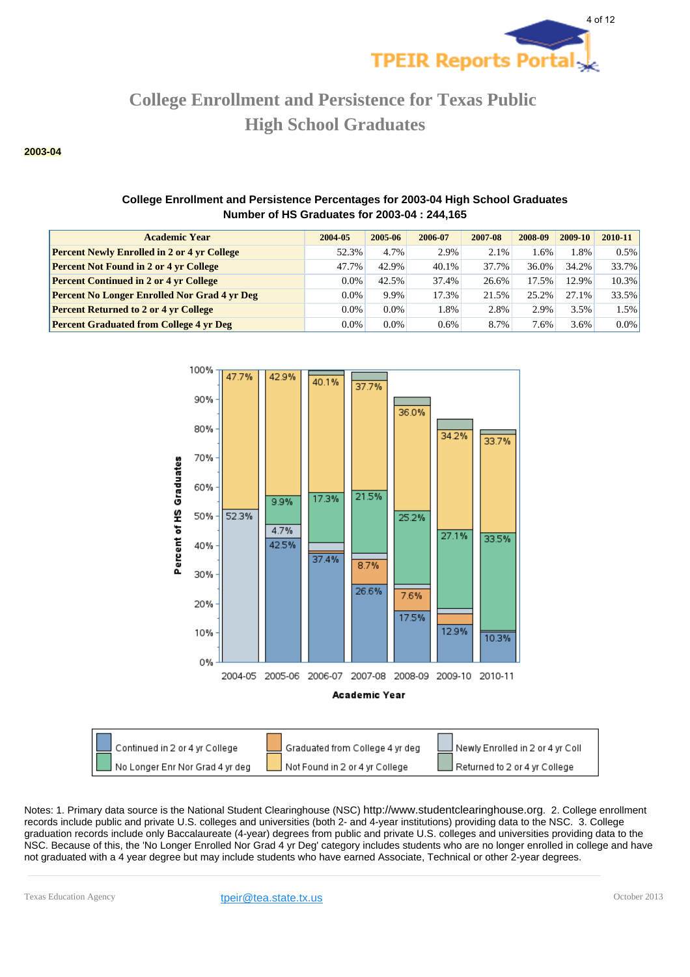

#### **2003-04**

### **College Enrollment and Persistence Percentages for 2003-04 High School Graduates Number of HS Graduates for 2003-04 : 244,165**

| <b>Academic Year</b>                                | 2004-05 | 2005-06 | 2006-07 | 2007-08 | 2008-09 | 2009-10 | 2010-11 |
|-----------------------------------------------------|---------|---------|---------|---------|---------|---------|---------|
| <b>Percent Newly Enrolled in 2 or 4 yr College</b>  | 52.3%   | 4.7%    | 2.9%    | 2.1%    | .6%     | $.8\%$  | 0.5%    |
| <b>Percent Not Found in 2 or 4 yr College</b>       | 47.7%   | 42.9%   | 40.1%   | 37.7%   | 36.0%   | 34.2%   | 33.7%   |
| <b>Percent Continued in 2 or 4 yr College</b>       | $0.0\%$ | 42.5%   | 37.4%   | 26.6%   | 17.5%   | 12.9%   | 10.3%   |
| <b>Percent No Longer Enrolled Nor Grad 4 yr Deg</b> | $0.0\%$ | 9.9%    | 17.3%   | 21.5%   | 25.2%   | 27.1%   | 33.5%   |
| <b>Percent Returned to 2 or 4 yr College</b>        | $0.0\%$ | $0.0\%$ | 1.8%    | 2.8%    | 2.9%    | 3.5%    | 1.5%    |
| <b>Percent Graduated from College 4 yr Deg</b>      | $0.0\%$ | $0.0\%$ | 0.6%    | 8.7%    | $7.6\%$ | 3.6%    | $0.0\%$ |



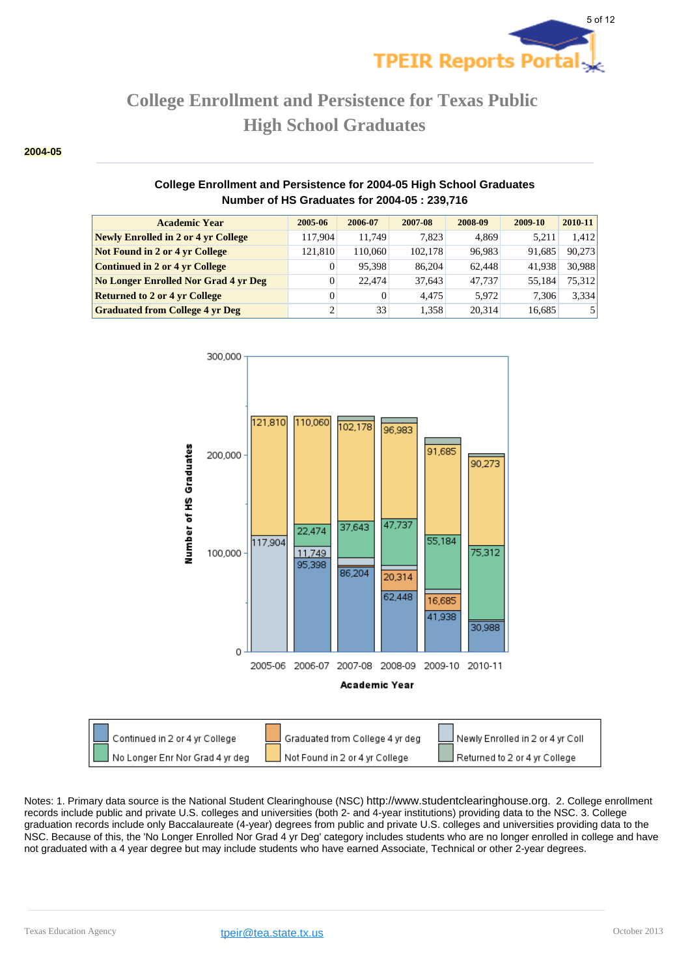

#### **2004-05**

### **College Enrollment and Persistence for 2004-05 High School Graduates Number of HS Graduates for 2004-05 : 239,716**

| <b>Academic Year</b>                        | 2005-06  | 2006-07  | 2007-08 | 2008-09 | 2009-10 | 2010-11 |
|---------------------------------------------|----------|----------|---------|---------|---------|---------|
| Newly Enrolled in 2 or 4 yr College         | 117.904  | 11.749   | 7.823   | 4,869   | 5.211   | 1.412   |
| <b>Not Found in 2 or 4 yr College</b>       | 121.810  | 110,060  | 102.178 | 96,983  | 91.685  | 90,273  |
| <b>Continued in 2 or 4 yr College</b>       | 0        | 95.398   | 86,204  | 62,448  | 41.938  | 30.988  |
| <b>No Longer Enrolled Nor Grad 4 yr Deg</b> | 0        | 22,474   | 37.643  | 47.737  | 55.184  | 75.312  |
| <b>Returned to 2 or 4 yr College</b>        | $\Omega$ | $\Omega$ | 4.475   | 5.972   | 7.306   | 3,334   |
| <b>Graduated from College 4 yr Deg</b>      |          | 33       | 1,358   | 20.314  | 16,685  | 5       |

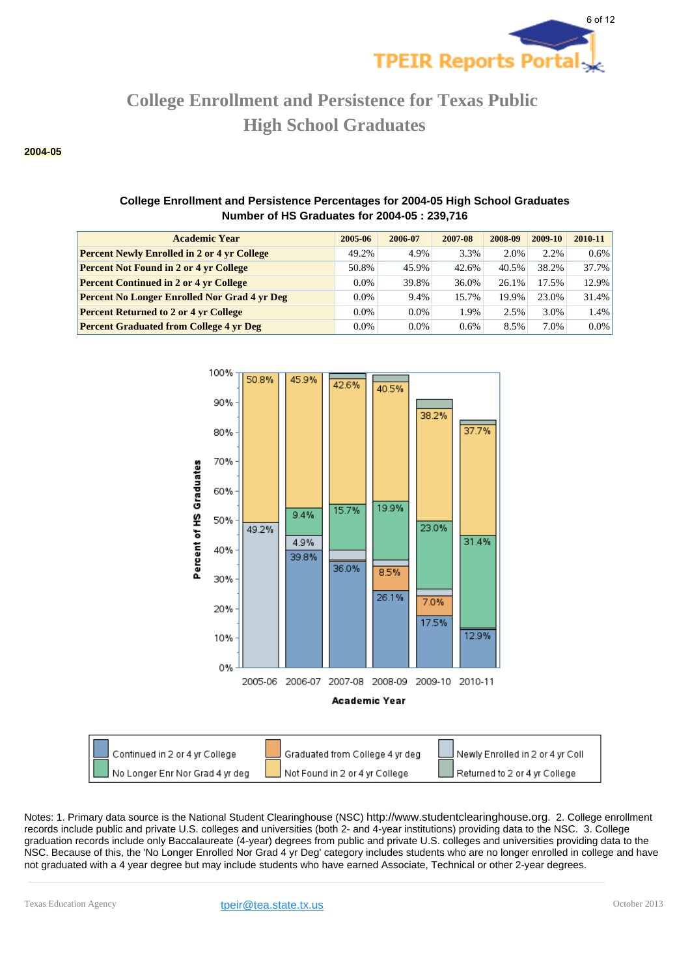

#### **2004-05**

## **College Enrollment and Persistence Percentages for 2004-05 High School Graduates Number of HS Graduates for 2004-05 : 239,716**

| <b>Academic Year</b>                                | 2005-06 | 2006-07 | 2007-08 | 2008-09 | 2009-10 | 2010-11 |
|-----------------------------------------------------|---------|---------|---------|---------|---------|---------|
| <b>Percent Newly Enrolled in 2 or 4 yr College</b>  | 49.2%   | 4.9%    | 3.3%    | 2.0%    | 2.2%    | $0.6\%$ |
| <b>Percent Not Found in 2 or 4 yr College</b>       | 50.8%   | 45.9%   | 42.6%   | 40.5%   | 38.2%   | 37.7%   |
| <b>Percent Continued in 2 or 4 yr College</b>       | $0.0\%$ | 39.8%   | 36.0%   | 26.1%   | 17.5%   | 12.9%   |
| <b>Percent No Longer Enrolled Nor Grad 4 yr Deg</b> | $0.0\%$ | 9.4%    | 15.7%   | 19.9%   | 23.0%   | 31.4%   |
| <b>Percent Returned to 2 or 4 yr College</b>        | $0.0\%$ | $0.0\%$ | 1.9%    | 2.5%    | 3.0%    | 1.4%    |
| <b>Percent Graduated from College 4 yr Deg</b>      | $0.0\%$ | $0.0\%$ | $0.6\%$ | 8.5%    | 7.0%    | $0.0\%$ |



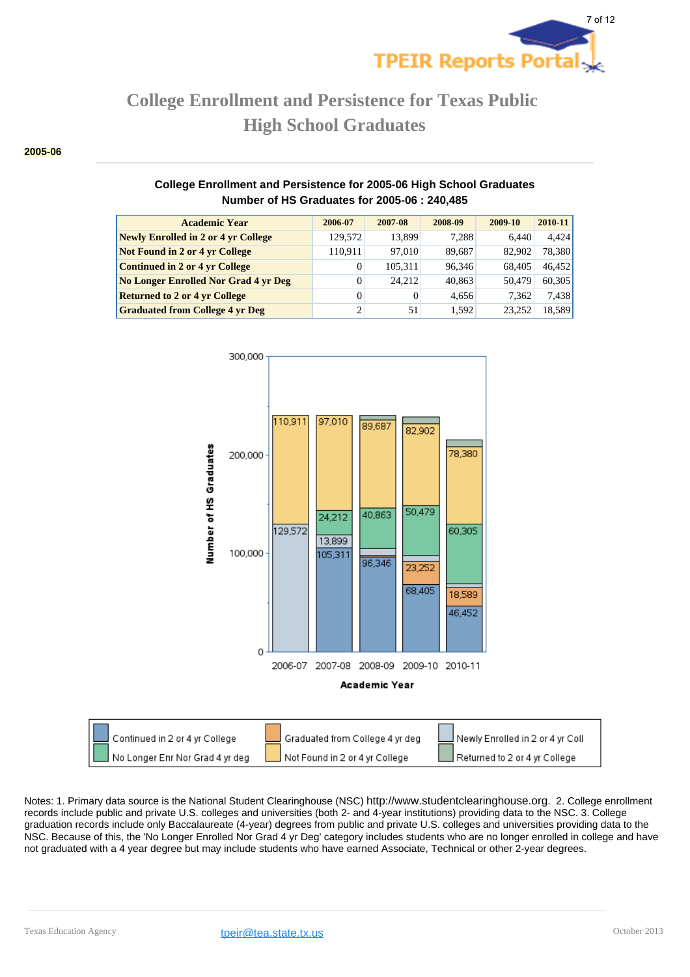

#### **2005-06**

### **College Enrollment and Persistence for 2005-06 High School Graduates Number of HS Graduates for 2005-06 : 240,485**

| <b>Academic Year</b>                        | 2006-07  | 2007-08  | 2008-09 | 2009-10 | 2010-11 |
|---------------------------------------------|----------|----------|---------|---------|---------|
| <b>Newly Enrolled in 2 or 4 yr College</b>  | 129,572  | 13.899   | 7.288   | 6.440   | 4.424   |
| Not Found in 2 or 4 yr College              | 110,911  | 97.010   | 89,687  | 82,902  | 78,380  |
| <b>Continued in 2 or 4 yr College</b>       | 0        | 105.311  | 96.346  | 68.405  | 46,452  |
| <b>No Longer Enrolled Nor Grad 4 yr Deg</b> | 0        | 24.212   | 40,863  | 50.479  | 60,305  |
| <b>Returned to 2 or 4 yr College</b>        | $\Omega$ | $\Omega$ | 4.656   | 7.362   | 7,438   |
| <b>Graduated from College 4 yr Deg</b>      |          | 51       | 1.592   | 23.252  | 18,589  |



Continued in 2 or 4 yr College Graduated from College 4 yr deg Newly Enrolled in 2 or 4 yr Coll No Longer Enr Nor Grad 4 yr deg Not Found in 2 or 4 yr College Returned to 2 or 4 yr College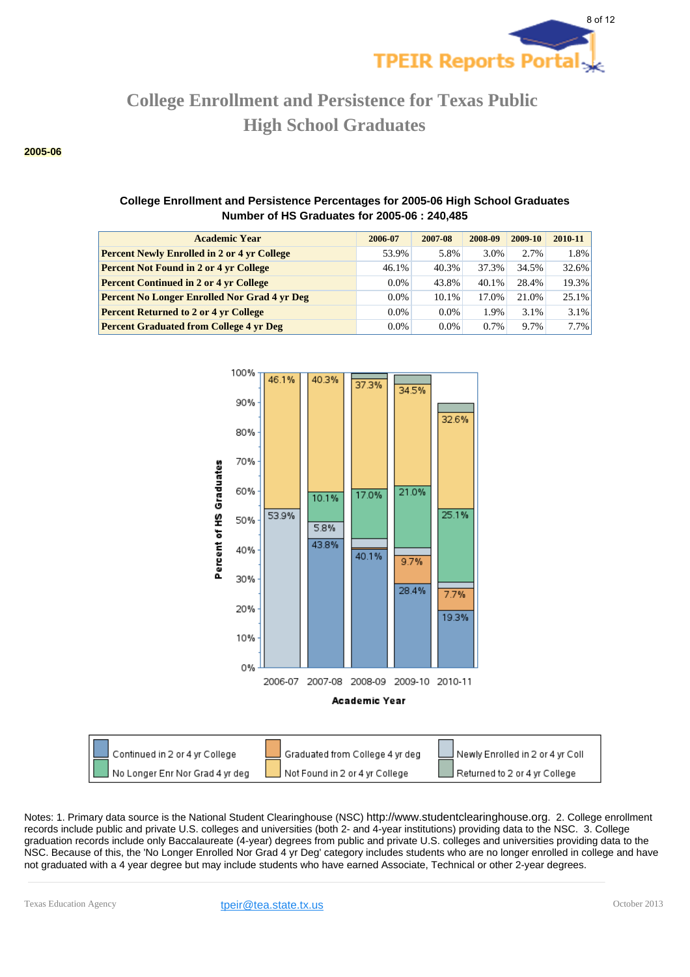

#### **2005-06**

## **College Enrollment and Persistence Percentages for 2005-06 High School Graduates Number of HS Graduates for 2005-06 : 240,485**

| <b>Academic Year</b>                                | 2006-07 | 2007-08 | 2008-09 | 2009-10 | $2010 - 11$ |
|-----------------------------------------------------|---------|---------|---------|---------|-------------|
| <b>Percent Newly Enrolled in 2 or 4 yr College</b>  | 53.9%   | 5.8%    | 3.0%    | 2.7%    | $1.8\%$     |
| <b>Percent Not Found in 2 or 4 yr College</b>       | 46.1%   | 40.3%   | 37.3%   | 34.5%   | $32.6\%$    |
| <b>Percent Continued in 2 or 4 yr College</b>       | $0.0\%$ | 43.8%   | 40.1%   | 28.4%   | $19.3\%$    |
| <b>Percent No Longer Enrolled Nor Grad 4 yr Deg</b> | $0.0\%$ | 10.1%   | 17.0%   | 21.0%   | $25.1\%$    |
| <b>Percent Returned to 2 or 4 yr College</b>        | $0.0\%$ | $0.0\%$ | 1.9%    | 3.1%    | $3.1\%$     |
| <b>Percent Graduated from College 4 yr Deg</b>      | $0.0\%$ | $0.0\%$ | 0.7%    | 9.7%    | $7.7\%$     |



Continued in 2 or 4 yr College Graduated from College 4 yr deg Newly Enrolled in 2 or 4 yr Coll No Longer Enr Nor Grad 4 yr deg Not Found in 2 or 4 yr College Returned to 2 or 4 yr College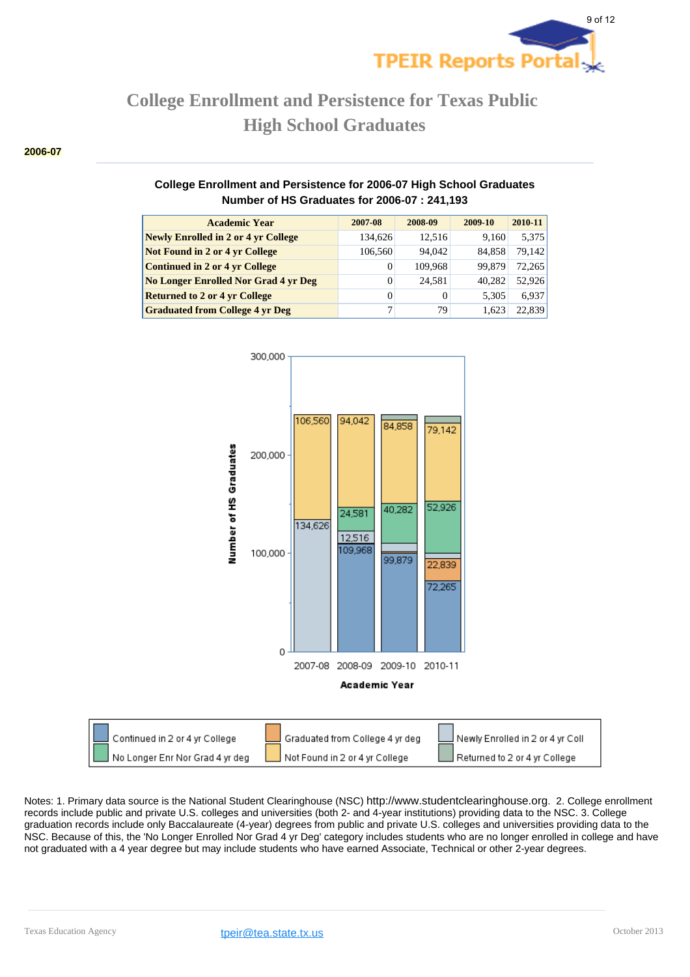

#### **2006-07**

### **College Enrollment and Persistence for 2006-07 High School Graduates Number of HS Graduates for 2006-07 : 241,193**

| <b>Academic Year</b>                        | 2007-08 | 2008-09 | 2009-10 | 2010-11 |
|---------------------------------------------|---------|---------|---------|---------|
| <b>Newly Enrolled in 2 or 4 yr College</b>  | 134.626 | 12.516  | 9.160   | 5,375   |
| <b>Not Found in 2 or 4 yr College</b>       | 106,560 | 94,042  | 84.858  | 79,142  |
| <b>Continued in 2 or 4 yr College</b>       | 0       | 109.968 | 99.879  | 72.265  |
| <b>No Longer Enrolled Nor Grad 4 yr Deg</b> | 0       | 24.581  | 40.282  | 52,926  |
| <b>Returned to 2 or 4 yr College</b>        | 0       | 0       | 5.305   | 6,937   |
| <b>Graduated from College 4 yr Deg</b>      |         | 79      | 1.623   | 22.839  |



|                                                                                                    | l Newly Enrolled in 2 or 4 yr Coll |
|----------------------------------------------------------------------------------------------------|------------------------------------|
| No Longer Enr Nor Grad 4 yr deg<br>Returned to 2 or 4 yr College<br>Not Found in 2 or 4 yr College |                                    |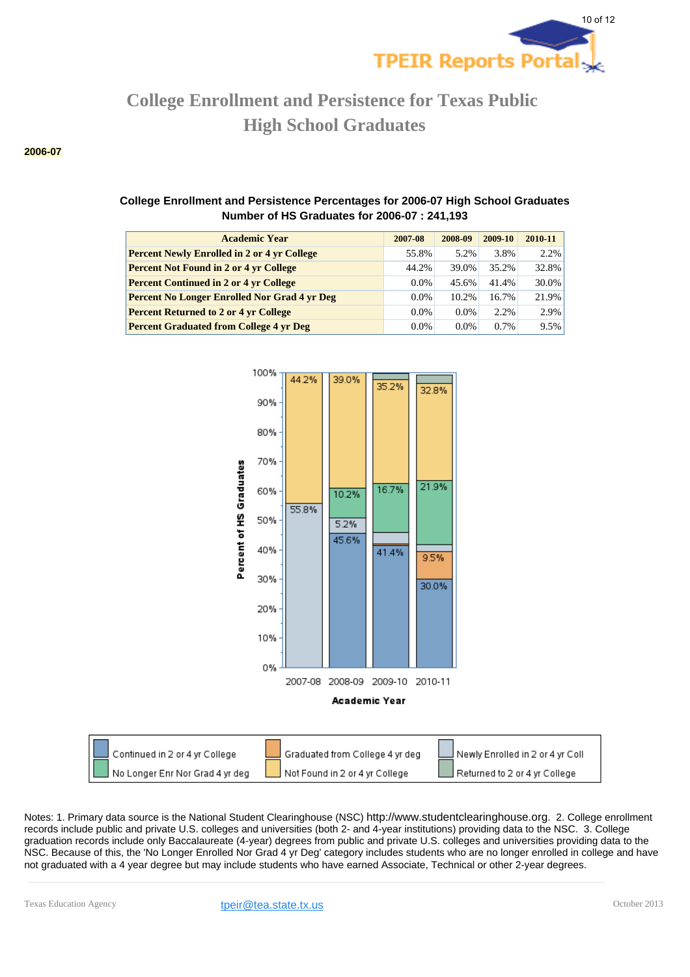

#### **2006-07**

## **College Enrollment and Persistence Percentages for 2006-07 High School Graduates Number of HS Graduates for 2006-07 : 241,193**

| <b>Academic Year</b>                                | 2007-08 | 2008-09 | 2009-10 | 2010-11 |
|-----------------------------------------------------|---------|---------|---------|---------|
| <b>Percent Newly Enrolled in 2 or 4 yr College</b>  | 55.8%   | 5.2%    | 3.8%    | 2.2%    |
| <b>Percent Not Found in 2 or 4 yr College</b>       | 44.2%   | 39.0%   | 35.2%   | 32.8%   |
| <b>Percent Continued in 2 or 4 yr College</b>       | $0.0\%$ | 45.6%   | 41.4%   | 30.0%   |
| <b>Percent No Longer Enrolled Nor Grad 4 yr Deg</b> | $0.0\%$ | 10.2%   | 16.7%   | 21.9%   |
| <b>Percent Returned to 2 or 4 yr College</b>        | $0.0\%$ | $0.0\%$ | 2.2%    | 2.9%    |
| <b>Percent Graduated from College 4 yr Deg</b>      | $0.0\%$ | $0.0\%$ | 0.7%    | 9.5%    |



Newly Enrolled in 2 or 4 yr Coll Not Found in 2 or 4 yr College Returned to 2 or 4 yr College

Notes: 1. Primary data source is the National Student Clearinghouse (NSC) http://www.studentclearinghouse.org. 2. College enrollment records include public and private U.S. colleges and universities (both 2- and 4-year institutions) providing data to the NSC. 3. College graduation records include only Baccalaureate (4-year) degrees from public and private U.S. colleges and universities providing data to the NSC. Because of this, the 'No Longer Enrolled Nor Grad 4 yr Deg' category includes students who are no longer enrolled in college and have not graduated with a 4 year degree but may include students who have earned Associate, Technical or other 2-year degrees.

No Longer Enr Nor Grad 4 yr deg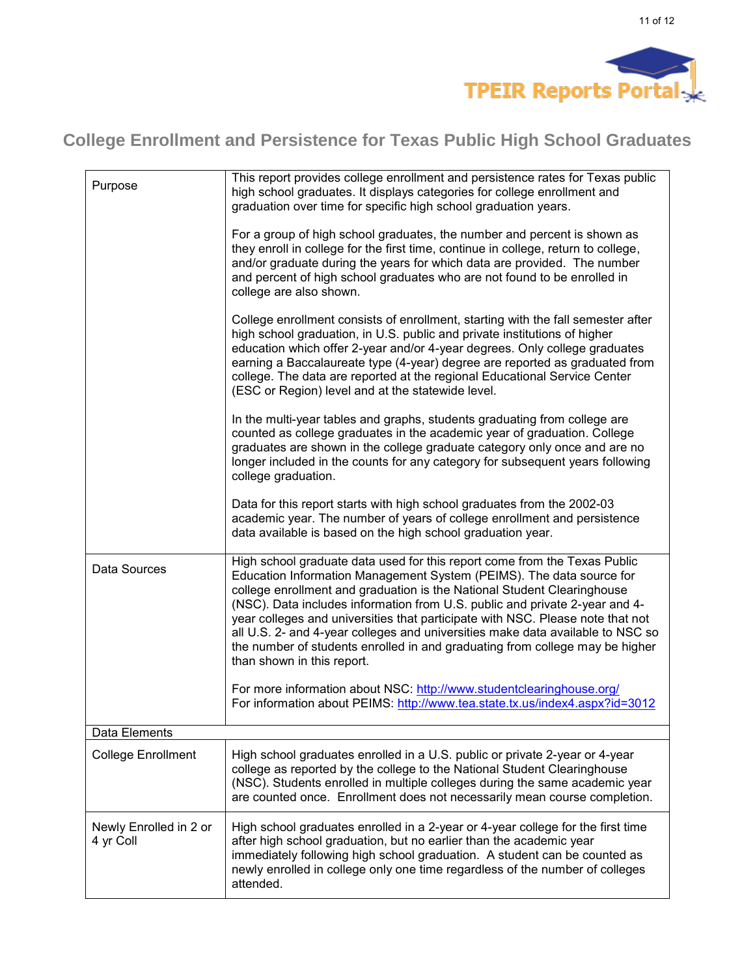

| Purpose                             | This report provides college enrollment and persistence rates for Texas public<br>high school graduates. It displays categories for college enrollment and<br>graduation over time for specific high school graduation years.<br>For a group of high school graduates, the number and percent is shown as<br>they enroll in college for the first time, continue in college, return to college,<br>and/or graduate during the years for which data are provided. The number<br>and percent of high school graduates who are not found to be enrolled in<br>college are also shown.            |
|-------------------------------------|-----------------------------------------------------------------------------------------------------------------------------------------------------------------------------------------------------------------------------------------------------------------------------------------------------------------------------------------------------------------------------------------------------------------------------------------------------------------------------------------------------------------------------------------------------------------------------------------------|
|                                     | College enrollment consists of enrollment, starting with the fall semester after<br>high school graduation, in U.S. public and private institutions of higher<br>education which offer 2-year and/or 4-year degrees. Only college graduates<br>earning a Baccalaureate type (4-year) degree are reported as graduated from<br>college. The data are reported at the regional Educational Service Center<br>(ESC or Region) level and at the statewide level.                                                                                                                                  |
|                                     | In the multi-year tables and graphs, students graduating from college are<br>counted as college graduates in the academic year of graduation. College<br>graduates are shown in the college graduate category only once and are no<br>longer included in the counts for any category for subsequent years following<br>college graduation.                                                                                                                                                                                                                                                    |
|                                     | Data for this report starts with high school graduates from the 2002-03<br>academic year. The number of years of college enrollment and persistence<br>data available is based on the high school graduation year.                                                                                                                                                                                                                                                                                                                                                                            |
| Data Sources                        | High school graduate data used for this report come from the Texas Public<br>Education Information Management System (PEIMS). The data source for<br>college enrollment and graduation is the National Student Clearinghouse<br>(NSC). Data includes information from U.S. public and private 2-year and 4-<br>year colleges and universities that participate with NSC. Please note that not<br>all U.S. 2- and 4-year colleges and universities make data available to NSC so<br>the number of students enrolled in and graduating from college may be higher<br>than shown in this report. |
|                                     | For more information about NSC: http://www.studentclearinghouse.org/<br>For information about PEIMS: http://www.tea.state.tx.us/index4.aspx?id=3012                                                                                                                                                                                                                                                                                                                                                                                                                                           |
| Data Elements                       |                                                                                                                                                                                                                                                                                                                                                                                                                                                                                                                                                                                               |
| <b>College Enrollment</b>           | High school graduates enrolled in a U.S. public or private 2-year or 4-year<br>college as reported by the college to the National Student Clearinghouse<br>(NSC). Students enrolled in multiple colleges during the same academic year<br>are counted once. Enrollment does not necessarily mean course completion.                                                                                                                                                                                                                                                                           |
| Newly Enrolled in 2 or<br>4 yr Coll | High school graduates enrolled in a 2-year or 4-year college for the first time<br>after high school graduation, but no earlier than the academic year<br>immediately following high school graduation. A student can be counted as<br>newly enrolled in college only one time regardless of the number of colleges<br>attended.                                                                                                                                                                                                                                                              |